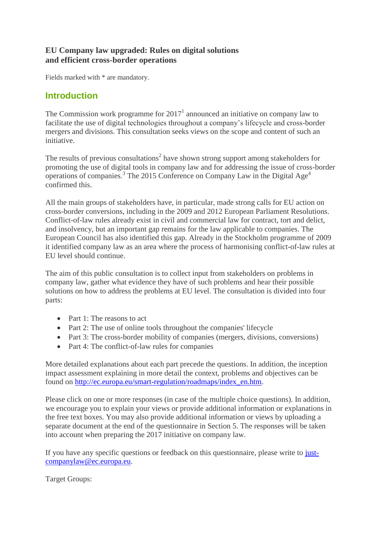## **EU Company law upgraded: Rules on digital solutions and efficient cross-border operations**

Fields marked with \* are mandatory.

# **Introduction**

The Commission work programme for  $2017<sup>1</sup>$  announced an initiative on company law to facilitate the use of digital technologies throughout a company's lifecycle and cross-border mergers and divisions. This consultation seeks views on the scope and content of such an initiative.

The results of previous consultations<sup>2</sup> have shown strong support among stakeholders for promoting the use of digital tools in company law and for addressing the issue of cross-border operations of companies.<sup>3</sup> The 2015 Conference on Company Law in the Digital Age<sup>4</sup> confirmed this.

All the main groups of stakeholders have, in particular, made strong calls for EU action on cross-border conversions, including in the 2009 and 2012 European Parliament Resolutions. Conflict-of-law rules already exist in civil and commercial law for contract, tort and delict, and insolvency, but an important gap remains for the law applicable to companies. The European Council has also identified this gap. Already in the Stockholm programme of 2009 it identified company law as an area where the process of harmonising conflict-of-law rules at EU level should continue.

The aim of this public consultation is to collect input from stakeholders on problems in company law, gather what evidence they have of such problems and hear their possible solutions on how to address the problems at EU level. The consultation is divided into four parts:

- Part 1: The reasons to act
- Part 2: The use of online tools throughout the companies' lifecycle
- Part 3: The cross-border mobility of companies (mergers, divisions, conversions)
- Part 4: The conflict-of-law rules for companies

More detailed explanations about each part precede the questions. In addition, the inception impact assessment explaining in more detail the context, problems and objectives can be found on [http://ec.europa.eu/smart-regulation/roadmaps/index\\_en.htm.](http://ec.europa.eu/smart-regulation/roadmaps/index_en.htm)

Please click on one or more responses (in case of the multiple choice questions). In addition, we encourage you to explain your views or provide additional information or explanations in the free text boxes. You may also provide additional information or views by uploading a separate document at the end of the questionnaire in Section 5. The responses will be taken into account when preparing the 2017 initiative on company law.

If you have any specific questions or feedback on this questionnaire, please write to [just](mailto:just-companylaw@ec.europa.eu)[companylaw@ec.europa.eu.](mailto:just-companylaw@ec.europa.eu)

Target Groups: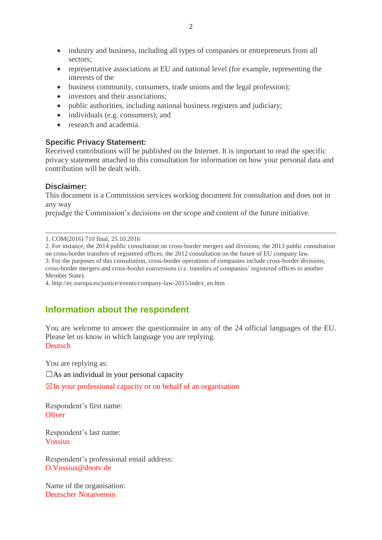- industry and business, including all types of companies or entrepreneurs from all sectors;
- representative associations at EU and national level (for example, representing the interests of the
- business community, consumers, trade unions and the legal profession);
- investors and their associations;
- public authorities, including national business registers and judiciary;
- individuals (e.g. consumers); and
- research and academia.

## **Specific Privacy Statement:**

Received contributions will be published on the Internet. It is important to read the specific privacy statement attached to this consultation for information on how your personal data and contribution will be dealt with.

#### **Disclaimer:**

This document is a Commission services working document for consultation and does not in any way

prejudge the Commission's decisions on the scope and content of the future initiative.

1. COM(2016) 710 final, 25.10.2016

2. For instance, the 2014 public consultation on cross-border mergers and divisions; the 2013 public consultation on cross-border transfers of registered offices; the 2012 consultation on the future of EU company law.

3. For the purposes of this consultation, cross-border operations of companies include cross-border divisions, cross-border mergers and cross-border conversions (i.e. transfers of companies' registered offices to another Member State).

4. http://ec.europa.eu/justice/events/company-law-2015/index\_en.htm

# **Information about the respondent**

You are welcome to answer the questionnaire in any of the 24 official languages of the EU. Please let us know in which language you are replying. Deutsch

You are replying as:

 $\square$ As an individual in your personal capacity

 $\boxtimes$ In your professional capacity or on behalf of an organisation

Respondent's first name: **Oliver** 

Respondent's last name: Vossius

Respondent's professional email address: O.Vossius@dnotv.de

Name of the organisation: Deutscher Notarverein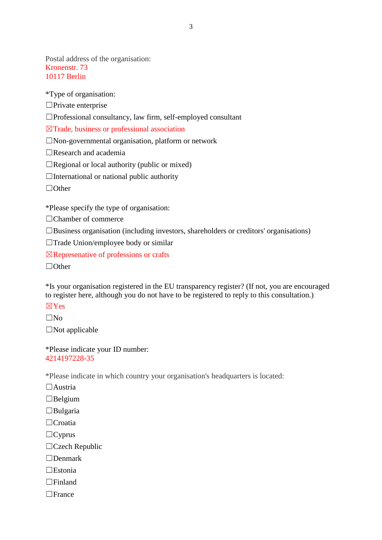Postal address of the organisation: Kronenstr. 73 10117 Berlin

\*Type of organisation:

☐Private enterprise

☐Professional consultancy, law firm, self-employed consultant

☒Trade, business or professional association

☐Non-governmental organisation, platform or network

☐Research and academia

 $\Box$ Regional or local authority (public or mixed)

 $\Box$ International or national public authority

☐Other

\*Please specify the type of organisation:

□Chamber of commerce

☐Business organisation (including investors, shareholders or creditors' organisations)

☐Trade Union/employee body or similar

☒Represenative of professions or crafts

☐Other

\*Is your organisation registered in the EU transparency register? (If not, you are encouraged to register here, although you do not have to be registered to reply to this consultation.)

☒Yes

 $\square$ No

 $\square$ Not applicable

\*Please indicate your ID number: 4214197228-35

\*Please indicate in which country your organisation's headquarters is located:

 $\Box$ Austria

 $\Box$ Belgium

☐Bulgaria

☐Croatia

 $\Box$ Cyprus

☐Czech Republic

☐Denmark

☐Estonia

☐Finland

☐France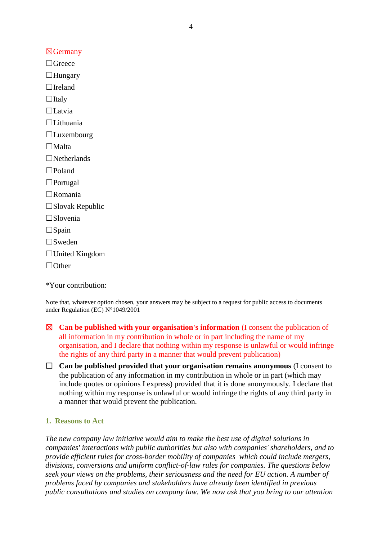$\boxtimes$ Germany

 $\Box$ Greece ☐Hungary

 $\Box$ Ireland

 $\Box$ Italy

☐Latvia

☐Lithuania

 $\Box$ Luxembourg

☐Malta

☐Netherlands

☐Poland

☐Portugal

☐Romania

☐Slovak Republic

☐Slovenia

 $\square$ Spain

☐Sweden

☐United Kingdom

☐Other

\*Your contribution:

Note that, whatever option chosen, your answers may be subject to a request for public access to documents under Regulation (EC) N°1049/2001

- ☒ **Can be published with your organisation's information** (I consent the publication of all information in my contribution in whole or in part including the name of my organisation, and I declare that nothing within my response is unlawful or would infringe the rights of any third party in a manner that would prevent publication)
- ☐ **Can be published provided that your organisation remains anonymous** (I consent to the publication of any information in my contribution in whole or in part (which may include quotes or opinions I express) provided that it is done anonymously. I declare that nothing within my response is unlawful or would infringe the rights of any third party in a manner that would prevent the publication.

## **1. Reasons to Act**

*The new company law initiative would aim to make the best use of digital solutions in companies' interactions with public authorities but also with companies' shareholders, and to provide efficient rules for cross-border mobility of companies which could include mergers, divisions, conversions and uniform conflict-of-law rules for companies. The questions below seek your views on the problems, their seriousness and the need for EU action. A number of problems faced by companies and stakeholders have already been identified in previous public consultations and studies on company law. We now ask that you bring to our attention*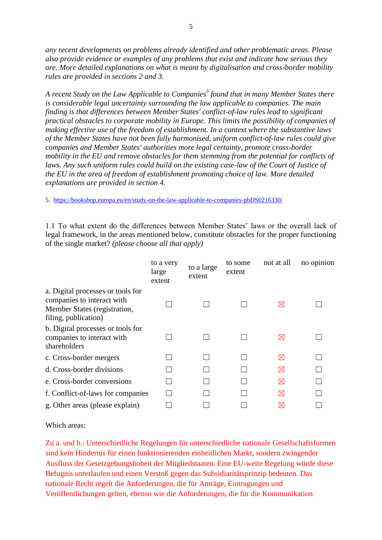*any recent developments on problems already identified and other problematic areas. Please also provide evidence or examples of any problems that exist and indicate how serious they are. More detailed explanations on what is meant by digitalisation and cross-border mobility rules are provided in sections 2 and 3.*

*A recent Study on the Law Applicable to Companies<sup>5</sup> found that in many Member States there is considerable legal uncertainty surrounding the law applicable to companies. The main finding is that differences between Member States' conflict-of-law rules lead to significant practical obstacles to corporate mobility in Europe. This limits the possibility of companies of making effective use of the freedom of establishment. In a context where the substantive laws of the Member States have not been fully harmonised, uniform conflict-of-law rules could give companies and Member States' authorities more legal certainty, promote cross-border mobility in the EU and remove obstacles for them stemming from the potential for conflicts of*  laws. Any such uniform rules could build on the existing case-law of the Court of Justice of *the EU in the area of freedom of establishment promoting choice of law. More detailed explanations are provided in section 4.*

5. <https://bookshop.europa.eu/en/study-on-the-law-applicable-to-companies-pbDS0216330/>

1.1 To what extent do the differences between Member States' laws or the overall lack of legal framework, in the areas mentioned below, constitute obstacles for the proper functioning of the single market? *(please choose all that apply)*

|                                                                                                                         | to a very<br>large<br>extent | to a large<br>extent | to some<br>extent | not at all  | no opinion |
|-------------------------------------------------------------------------------------------------------------------------|------------------------------|----------------------|-------------------|-------------|------------|
| a. Digital processes or tools for<br>companies to interact with<br>Member States (registration,<br>filing, publication) |                              |                      |                   | $\boxtimes$ |            |
| b. Digital processes or tools for<br>companies to interact with<br>shareholders                                         |                              |                      |                   | $\boxtimes$ |            |
| c. Cross-border mergers                                                                                                 |                              |                      |                   | ⊠           |            |
| d. Cross-border divisions                                                                                               |                              |                      |                   | ⊠           |            |
| e. Cross-border conversions                                                                                             |                              |                      |                   | ⊠           |            |
| f. Conflict-of-laws for companies                                                                                       |                              |                      |                   | $\boxtimes$ |            |
| g. Other areas (please explain)                                                                                         |                              |                      |                   | $\boxtimes$ |            |

Which areas:

Zu a. und b.: Unterschiedliche Regelungen für unterschiedliche nationale Gesellschaftsformen sind kein Hindernis für einen funktionierenden einheitlichen Markt, sondern zwingender Ausfluss der Gesetzgebungshoheit der Mitgliedstaaten. Eine EU-weite Regelung würde diese Befugnis unterlaufen und einen Verstoß gegen das Subsidiaritätsprinzip bedeuten. Das nationale Recht regelt die Anforderungen, die für Anträge, Eintragungen und Veröffentlichungen gelten, ebenso wie die Anforderungen, die für die Kommunikation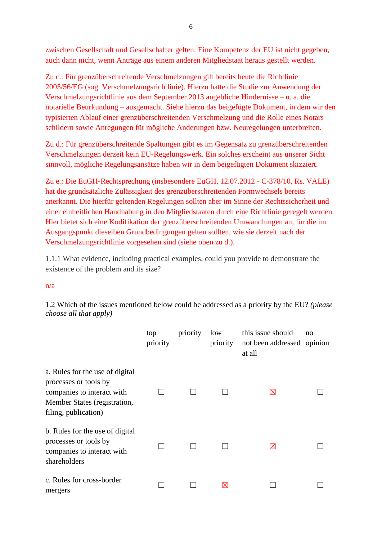zwischen Gesellschaft und Gesellschafter gelten. Eine Kompetenz der EU ist nicht gegeben, auch dann nicht, wenn Anträge aus einem anderen Mitgliedstaat heraus gestellt werden.

Zu c.: Für grenzüberschreitende Verschmelzungen gilt bereits heute die Richtlinie 2005/56/EG (sog. Verschmelzungsrichtlinie). Hierzu hatte die Studie zur Anwendung der Verschmelzungsrichtlinie aus dem September 2013 angebliche Hindernisse – u. a. die notarielle Beurkundung – ausgemacht. Siehe hierzu das beigefügte Dokument, in dem wir den typisierten Ablauf einer grenzüberschreitenden Verschmelzung und die Rolle eines Notars schildern sowie Anregungen für mögliche Änderungen bzw. Neuregelungen unterbreiten.

Zu d.: Für grenzüberschreitende Spaltungen gibt es im Gegensatz zu grenzüberschreitenden Verschmelzungen derzeit kein EU-Regelungswerk. Ein solches erscheint aus unserer Sicht sinnvoll, mögliche Regelungsansätze haben wir in dem beigefügten Dokument skizziert.

Zu e.: Die EuGH-Rechtsprechung (insbesondere EuGH, 12.07.2012 - C-378/10, Rs. VALE) hat die grundsätzliche Zulässigkeit des grenzüberschreitenden Formwechsels bereits anerkannt. Die hierfür geltenden Regelungen sollten aber im Sinne der Rechtssicherheit und einer einheitlichen Handhabung in den Mitgliedstaaten durch eine Richtlinie geregelt werden. Hier bietet sich eine Kodifikation der grenzüberschreitenden Umwandlungen an, für die im Ausgangspunkt dieselben Grundbedingungen gelten sollten, wie sie derzeit nach der Verschmelzungsrichtlinie vorgesehen sind (siehe oben zu d.).

1.1.1 What evidence, including practical examples, could you provide to demonstrate the existence of the problem and its size?

## n/a

1.2 Which of the issues mentioned below could be addressed as a priority by the EU? *(please choose all that apply)*

|                                                                                                                                                | top<br>priority | priority | low<br>priority | this issue should<br>not been addressed opinion<br>at all | no |
|------------------------------------------------------------------------------------------------------------------------------------------------|-----------------|----------|-----------------|-----------------------------------------------------------|----|
| a. Rules for the use of digital<br>processes or tools by<br>companies to interact with<br>Member States (registration,<br>filing, publication) |                 |          |                 | $\boxtimes$                                               |    |
| b. Rules for the use of digital<br>processes or tools by<br>companies to interact with<br>shareholders                                         |                 |          |                 | $\boxtimes$                                               |    |
| c. Rules for cross-border<br>mergers                                                                                                           |                 |          | ⊠               |                                                           |    |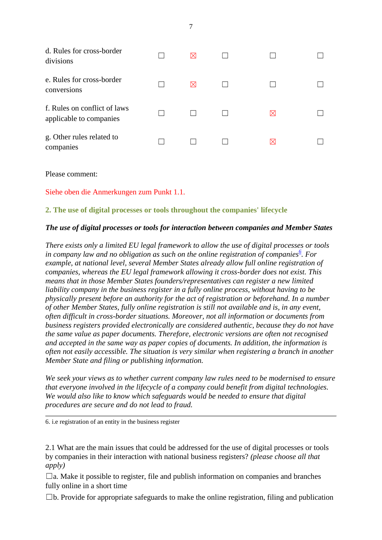| d. Rules for cross-border<br>divisions                  | ⋈ |             |  |
|---------------------------------------------------------|---|-------------|--|
| e. Rules for cross-border<br>conversions                | ⊠ |             |  |
| f. Rules on conflict of laws<br>applicable to companies |   | $\boxtimes$ |  |
| g. Other rules related to<br>companies                  |   | $\boxtimes$ |  |
|                                                         |   |             |  |

Siehe oben die Anmerkungen zum Punkt 1.1.

#### **2. The use of digital processes or tools throughout the companies' lifecycle**

#### *The use of digital processes or tools for interaction between companies and Member States*

*There exists only a limited EU legal framework to allow the use of digital processes or tools in company law and no obligation as such on the online registration of companies[6](https://ec.europa.eu/eusurvey/runner/749bfca6-611a-4238-b32a-0318c59d946c?draftid=b3a17304-256a-45f7-975e-dd5676a5d563#fn5) . For example, at national level, several Member States already allow full online registration of companies, whereas the EU legal framework allowing it cross-border does not exist. This means that in those Member States founders/representatives can register a new limited liability company in the business register in a fully online process, without having to be physically present before an authority for the act of registration or beforehand. In a number of other Member States, fully online registration is still not available and is, in any event, often difficult in cross-border situations. Moreover, not all information or documents from business registers provided electronically are considered authentic, because they do not have the same value as paper documents. Therefore, electronic versions are often not recognised and accepted in the same way as paper copies of documents. In addition, the information is often not easily accessible. The situation is very similar when registering a branch in another Member State and filing or publishing information.*

*We seek your views as to whether current company law rules need to be modernised to ensure that everyone involved in the lifecycle of a company could benefit from digital technologies. We would also like to know which safeguards would be needed to ensure that digital procedures are secure and do not lead to fraud.*

6. i.e registration of an entity in the business register

2.1 What are the main issues that could be addressed for the use of digital processes or tools by companies in their interaction with national business registers? *(please choose all that apply)*

 $\Box$ a. Make it possible to register, file and publish information on companies and branches fully online in a short time

 $\Box$ b. Provide for appropriate safeguards to make the online registration, filing and publication

7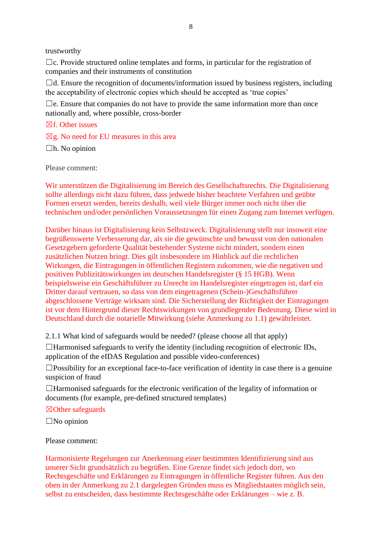trustworthy

 $\Box$ c. Provide structured online templates and forms, in particular for the registration of companies and their instruments of constitution

 $\Box$ d. Ensure the recognition of documents/information issued by business registers, including the acceptability of electronic copies which should be accepted as 'true copies'

 $\Box$ e. Ensure that companies do not have to provide the same information more than once nationally and, where possible, cross-border

 $\boxtimes$ f. Other issues

 $\boxtimes$ g. No need for EU measures in this area

 $\Box$ h. No opinion

Please comment:

Wir unterstützen die Digitalisierung im Bereich des Gesellschaftsrechts. Die Digitalisierung sollte allerdings nicht dazu führen, dass jedwede bisher beachtete Verfahren und geübte Formen ersetzt werden, bereits deshalb, weil viele Bürger immer noch nicht über die technischen und/oder persönlichen Voraussetzungen für einen Zugang zum Internet verfügen.

Darüber hinaus ist Digitalisierung kein Selbstzweck. Digitalisierung stellt nur insoweit eine begrüßenswerte Verbesserung dar, als sie die gewünschte und bewusst von den nationalen Gesetzgebern geforderte Qualität bestehender Systeme nicht mindert, sondern einen zusätzlichen Nutzen bringt. Dies gilt insbesondere im Hinblick auf die rechtlichen Wirkungen, die Eintragungen in öffentlichen Registern zukommen, wie die negativen und positiven Publizitätswirkungen im deutschen Handelsregister (§ 15 HGB). Wenn beispielsweise ein Geschäftsführer zu Unrecht im Handelsregister eingetragen ist, darf ein Dritter darauf vertrauen, so dass von dem eingetragenen (Schein-)Geschäftsführer abgeschlossene Verträge wirksam sind. Die Sicherstellung der Richtigkeit der Eintragungen ist vor dem Hintergrund dieser Rechtswirkungen von grundlegender Bedeutung. Diese wird in Deutschland durch die notarielle Mitwirkung (siehe Anmerkung zu 1.1) gewährleistet.

2.1.1 What kind of safeguards would be needed? (please choose all that apply)

 $\Box$ Harmonised safeguards to verify the identity (including recognition of electronic IDs, application of the eIDAS Regulation and possible video-conferences)

 $\square$ Possibility for an exceptional face-to-face verification of identity in case there is a genuine suspicion of fraud

☐Harmonised safeguards for the electronic verification of the legality of information or documents (for example, pre-defined structured templates)

#### ☒Other safeguards

 $\square$ No opinion

Please comment:

Harmonisierte Regelungen zur Anerkennung einer bestimmten Identifizierung sind aus unserer Sicht grundsätzlich zu begrüßen. Eine Grenze findet sich jedoch dort, wo Rechtsgeschäfte und Erklärungen zu Eintragungen in öffentliche Register führen. Aus den oben in der Anmerkung zu 2.1 dargelegten Gründen muss es Mitgliedstaaten möglich sein, selbst zu entscheiden, dass bestimmte Rechtsgeschäfte oder Erklärungen – wie z. B.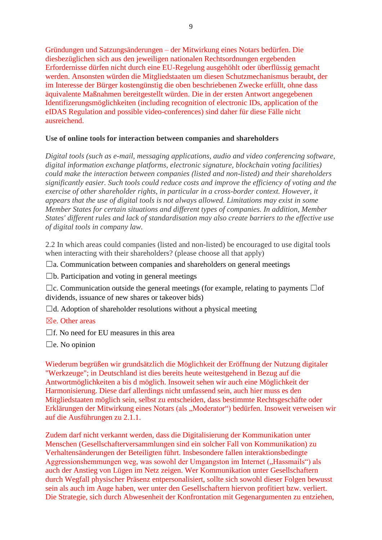Gründungen und Satzungsänderungen – der Mitwirkung eines Notars bedürfen. Die diesbezüglichen sich aus den jeweiligen nationalen Rechtsordnungen ergebenden Erfordernisse dürfen nicht durch eine EU-Regelung ausgehöhlt oder überflüssig gemacht werden. Ansonsten würden die Mitgliedstaaten um diesen Schutzmechanismus beraubt, der im Interesse der Bürger kostengünstig die oben beschriebenen Zwecke erfüllt, ohne dass äquivalente Maßnahmen bereitgestellt würden. Die in der ersten Antwort angegebenen Identifizerungsmöglichkeiten (including recognition of electronic IDs, application of the eIDAS Regulation and possible video-conferences) sind daher für diese Fälle nicht ausreichend.

### **Use of online tools for interaction between companies and shareholders**

*Digital tools (such as e-mail, messaging applications, audio and video conferencing software, digital information exchange platforms, electronic signature, blockchain voting facilities) could make the interaction between companies (listed and non-listed) and their shareholders significantly easier. Such tools could reduce costs and improve the efficiency of voting and the exercise of other shareholder rights, in particular in a cross-border context. However, it appears that the use of digital tools is not always allowed. Limitations may exist in some Member States for certain situations and different types of companies. In addition, Member States' different rules and lack of standardisation may also create barriers to the effective use of digital tools in company law.*

2.2 In which areas could companies (listed and non-listed) be encouraged to use digital tools when interacting with their shareholders? (please choose all that apply)

 $\Box$ a. Communication between companies and shareholders on general meetings

 $\square$ b. Participation and voting in general meetings

 $\Box$ c. Communication outside the general meetings (for example, relating to payments  $\Box$ of dividends, issuance of new shares or takeover bids)

 $\Box$ d. Adoption of shareholder resolutions without a physical meeting

- $\boxtimes$ e. Other areas
- $\Box$ f. No need for EU measures in this area

 $\square$ e. No opinion

Wiederum begrüßen wir grundsätzlich die Möglichkeit der Eröffnung der Nutzung digitaler "Werkzeuge"; in Deutschland ist dies bereits heute weitestgehend in Bezug auf die Antwortmöglichkeiten a bis d möglich. Insoweit sehen wir auch eine Möglichkeit der Harmonisierung. Diese darf allerdings nicht umfassend sein, auch hier muss es den Mitgliedstaaten möglich sein, selbst zu entscheiden, dass bestimmte Rechtsgeschäfte oder Erklärungen der Mitwirkung eines Notars (als "Moderator") bedürfen. Insoweit verweisen wir auf die Ausführungen zu 2.1.1.

Zudem darf nicht verkannt werden, dass die Digitalisierung der Kommunikation unter Menschen (Gesellschafterversammlungen sind ein solcher Fall von Kommunikation) zu Verhaltensänderungen der Beteiligten führt. Insbesondere fallen interaktionsbedingte Aggressionshemmungen weg, was sowohl der Umgangston im Internet ("Hassmails") als auch der Anstieg von Lügen im Netz zeigen. Wer Kommunikation unter Gesellschaftern durch Wegfall physischer Präsenz entpersonalisiert, sollte sich sowohl dieser Folgen bewusst sein als auch im Auge haben, wer unter den Gesellschaftern hiervon profitiert bzw. verliert. Die Strategie, sich durch Abwesenheit der Konfrontation mit Gegenargumenten zu entziehen,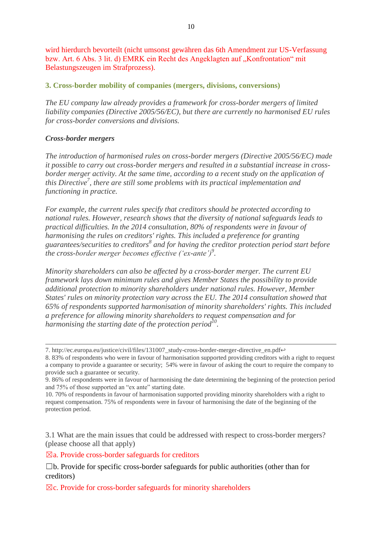wird hierdurch bevorteilt (nicht umsonst gewähren das 6th Amendment zur US-Verfassung bzw. Art. 6 Abs. 3 lit. d) EMRK ein Recht des Angeklagten auf "Konfrontation" mit Belastungszeugen im Strafprozess).

**3. Cross-border mobility of companies (mergers, divisions, conversions)**

*The EU company law already provides a framework for cross-border mergers of limited liability companies (Directive 2005/56/EC), but there are currently no harmonised EU rules for cross-border conversions and divisions.*

## *Cross-border mergers*

*The introduction of harmonised rules on cross-border mergers (Directive 2005/56/EC) made it possible to carry out cross-border mergers and resulted in a substantial increase in crossborder merger activity. At the same time, according to a recent study on the application of this Directive<sup>7</sup> , there are still some problems with its practical implementation and functioning in practice.*

*For example, the current rules specify that creditors should be protected according to national rules. However, research shows that the diversity of national safeguards leads to practical difficulties. In the 2014 consultation, 80% of respondents were in favour of harmonising the rules on creditors' rights. This included a preference for granting guarantees/securities to creditors<sup>8</sup> and for having the creditor protection period start before the cross-border merger becomes effective ('ex-ante')<sup>9</sup> .*

*Minority shareholders can also be affected by a cross-border merger. The current EU framework lays down minimum rules and gives Member States the possibility to provide additional protection to minority shareholders under national rules. However, Member States' rules on minority protection vary across the EU. The 2014 consultation showed that 65% of respondents supported harmonisation of minority shareholders' rights. This included a preference for allowing minority shareholders to request compensation and for harmonising the starting date of the protection period<sup>10</sup> .*

3.1 What are the main issues that could be addressed with respect to cross-border mergers? (please choose all that apply)

 $\boxtimes$ a. Provide cross-border safeguards for creditors

 $\boxtimes$ c. Provide for cross-border safeguards for minority shareholders

<sup>7.</sup> http://ec.europa.eu/justice/civil/files/131007\_study-cross-border-merger-directive\_en.pdf↩

<sup>8. 83%</sup> of respondents who were in favour of harmonisation supported providing creditors with a right to request a company to provide a guarantee or security; 54% were in favour of asking the court to require the company to provide such a guarantee or security.

<sup>9. 86%</sup> of respondents were in favour of harmonising the date determining the beginning of the protection period and 75% of those supported an "ex ante" starting date.

<sup>10. 70%</sup> of respondents in favour of harmonisation supported providing minority shareholders with a right to request compensation. 75% of respondents were in favour of harmonising the date of the beginning of the protection period.

 $\Box$ b. Provide for specific cross-border safeguards for public authorities (other than for creditors)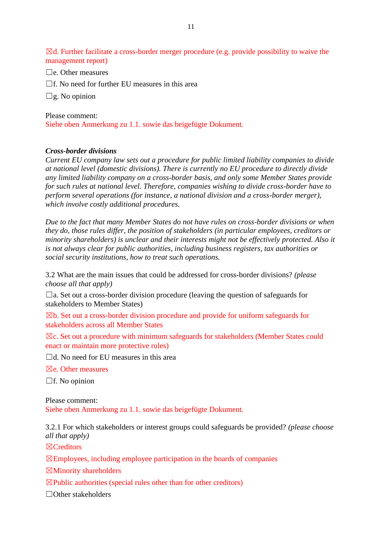$\boxtimes$ d. Further facilitate a cross-border merger procedure (e.g. provide possibility to waive the management report)

 $\square$ e. Other measures

 $\Box$ f. No need for further EU measures in this area

 $\square$ g. No opinion

Please comment:

Siehe oben Anmerkung zu 1.1. sowie das beigefügte Dokument.

#### *Cross-border divisions*

*Current EU company law sets out a procedure for public limited liability companies to divide at national level (domestic divisions). There is currently no EU procedure to directly divide any limited liability company on a cross-border basis, and only some Member States provide for such rules at national level. Therefore, companies wishing to divide cross-border have to perform several operations (for instance, a national division and a cross-border merger), which involve costly additional procedures.*

*Due to the fact that many Member States do not have rules on cross-border divisions or when they do, those rules differ, the position of stakeholders (in particular employees, creditors or minority shareholders) is unclear and their interests might not be effectively protected. Also it is not always clear for public authorities, including business registers, tax authorities or social security institutions, how to treat such operations.*

3.2 What are the main issues that could be addressed for cross-border divisions? *(please choose all that apply)*

 $\Box$ a. Set out a cross-border division procedure (leaving the question of safeguards for stakeholders to Member States)

 $\boxtimes$ b. Set out a cross-border division procedure and provide for uniform safeguards for stakeholders across all Member States

 $\boxtimes$ c. Set out a procedure with minimum safeguards for stakeholders (Member States could enact or maintain more protective rules)

 $\Box$ d. No need for EU measures in this area

 $\boxtimes$ e. Other measures

 $\Box$ f. No opinion

Please comment: Siehe oben Anmerkung zu 1.1. sowie das beigefügte Dokument.

3.2.1 For which stakeholders or interest groups could safeguards be provided? *(please choose all that apply)*

☒Creditors

 $\boxtimes$ Employees, including employee participation in the boards of companies

 $\boxtimes$ Minority shareholders

 $\boxtimes$ Public authorities (special rules other than for other creditors)

☐Other stakeholders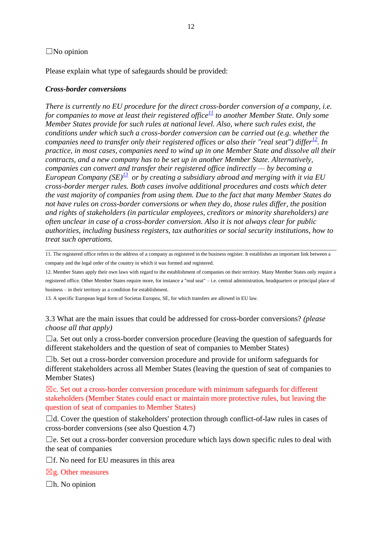#### $\square$ No opinion

Please explain what type of safegaurds should be provided:

#### *Cross-border conversions*

*There is currently no EU procedure for the direct cross-border conversion of a company, i.e. for companies to move at least their registered office*<sup>[11](https://ec.europa.eu/eusurvey/runner/749bfca6-611a-4238-b32a-0318c59d946c?draftid=b3a17304-256a-45f7-975e-dd5676a5d563#fn10)</sup> *to another Member State. Only some Member States provide for such rules at national level. Also, where such rules exist, the conditions under which such a cross-border conversion can be carried out (e.g. whether the companies need to transfer only their registered offices or also their "real seat") differ*<sup> $12$ </sup>. In *practice, in most cases, companies need to wind up in one Member State and dissolve all their contracts, and a new company has to be set up in another Member State. Alternatively, companies can convert and transfer their registered office indirectly — by becoming a European Company (SE)[13](https://ec.europa.eu/eusurvey/runner/749bfca6-611a-4238-b32a-0318c59d946c?draftid=b3a17304-256a-45f7-975e-dd5676a5d563#fn12) or by creating a subsidiary abroad and merging with it via EU cross-border merger rules. Both cases involve additional procedures and costs which deter the vast majority of companies from using them. Due to the fact that many Member States do not have rules on cross-border conversions or when they do, those rules differ, the position and rights of stakeholders (in particular employees, creditors or minority shareholders) are often unclear in case of a cross-border conversion. Also it is not always clear for public authorities, including business registers, tax authorities or social security institutions, how to treat such operations.*

11. The registered office refers to the address of a company as registered in the business register. It establishes an important link between a company and the legal order of the country in which it was formed and registered.

12. Member States apply their own laws with regard to the establishment of companies on their territory. Many Member States only require a registered office. Other Member States require more, for instance a "real seat" – i.e. central administration, headquarters or principal place of business – in their territory as a condition for establishment.

13. A specific European legal form of Societas Europea, SE, for which transfers are allowed in EU law.

3.3 What are the main issues that could be addressed for cross-border conversions? *(please choose all that apply)*

 $\Box$ a. Set out only a cross-border conversion procedure (leaving the question of safeguards for different stakeholders and the question of seat of companies to Member States)

 $\Box$ b. Set out a cross-border conversion procedure and provide for uniform safeguards for different stakeholders across all Member States (leaving the question of seat of companies to Member States)

 $\boxtimes$ c. Set out a cross-border conversion procedure with minimum safeguards for different stakeholders (Member States could enact or maintain more protective rules, but leaving the question of seat of companies to Member States)

 $\Box$ d. Cover the question of stakeholders' protection through conflict-of-law rules in cases of cross-border conversions (see also Question 4.7)

 $\Box$ e. Set out a cross-border conversion procedure which lays down specific rules to deal with the seat of companies

 $\Box$ f. No need for EU measures in this area

 $\boxtimes$ g. Other measures

 $\Box$ h. No opinion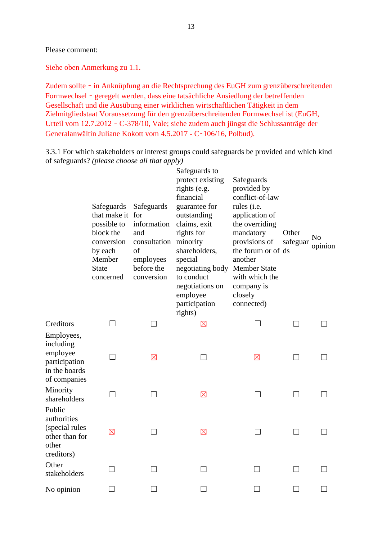Siehe oben Anmerkung zu 1.1.

Zudem sollte – in Anknüpfung an die Rechtsprechung des EuGH zum grenzüberschreitenden Formwechsel – geregelt werden, dass eine tatsächliche Ansiedlung der betreffenden Gesellschaft und die Ausübung einer wirklichen wirtschaftlichen Tätigkeit in dem Zielmitgliedstaat Voraussetzung für den grenzüberschreitenden Formwechsel ist (EuGH, Urteil vom 12.7.2012 – C-378/10, Vale; siehe zudem auch jüngst die Schlussanträge der Generalanwältin Juliane Kokott vom 4.5.2017 - C‑106/16, Polbud).

3.3.1 For which stakeholders or interest groups could safeguards be provided and which kind of safeguards? *(please choose all that apply)*

|                                                                                       | Safeguards<br>that make it for<br>possible to<br>block the<br>conversion<br>by each<br>Member<br><b>State</b><br>concerned | Safeguards<br>information<br>and<br>consultation<br>of<br>employees<br>before the<br>conversion | Safeguards to<br>protect existing<br>rights (e.g.<br>financial<br>guarantee for<br>outstanding<br>claims, exit<br>rights for<br>minority<br>shareholders,<br>special<br>negotiating body Member State<br>to conduct<br>negotiations on<br>employee<br>participation<br>rights) | Safeguards<br>provided by<br>conflict-of-law<br>rules (i.e.<br>application of<br>the overriding<br>mandatory<br>provisions of<br>the forum or of ds<br>another<br>with which the<br>company is<br>closely<br>connected) | Other<br>safeguar | N <sub>0</sub><br>opinion |
|---------------------------------------------------------------------------------------|----------------------------------------------------------------------------------------------------------------------------|-------------------------------------------------------------------------------------------------|--------------------------------------------------------------------------------------------------------------------------------------------------------------------------------------------------------------------------------------------------------------------------------|-------------------------------------------------------------------------------------------------------------------------------------------------------------------------------------------------------------------------|-------------------|---------------------------|
| Creditors                                                                             |                                                                                                                            |                                                                                                 | $\boxtimes$                                                                                                                                                                                                                                                                    |                                                                                                                                                                                                                         |                   |                           |
| Employees,<br>including<br>employee<br>participation<br>in the boards<br>of companies | - 1                                                                                                                        | $\boxtimes$                                                                                     |                                                                                                                                                                                                                                                                                | $\boxtimes$                                                                                                                                                                                                             |                   |                           |
| Minority<br>shareholders                                                              |                                                                                                                            |                                                                                                 | $\boxtimes$                                                                                                                                                                                                                                                                    |                                                                                                                                                                                                                         |                   |                           |
| Public<br>authorities<br>(special rules<br>other than for<br>other<br>creditors)      | $\boxtimes$                                                                                                                | $\blacksquare$                                                                                  | $\boxtimes$                                                                                                                                                                                                                                                                    | . I                                                                                                                                                                                                                     |                   |                           |
| Other<br>stakeholders                                                                 |                                                                                                                            |                                                                                                 |                                                                                                                                                                                                                                                                                |                                                                                                                                                                                                                         |                   |                           |
| No opinion                                                                            |                                                                                                                            |                                                                                                 |                                                                                                                                                                                                                                                                                |                                                                                                                                                                                                                         |                   |                           |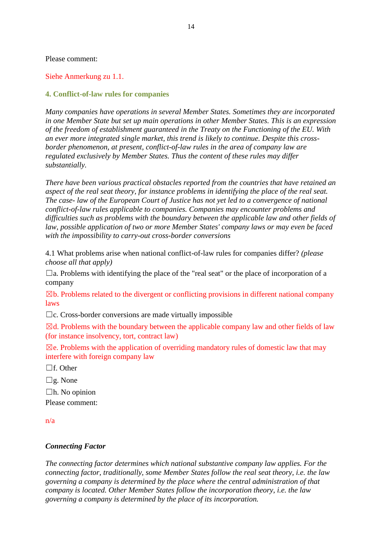#### Siehe Anmerkung zu 1.1.

#### **4. Conflict-of-law rules for companies**

*Many companies have operations in several Member States. Sometimes they are incorporated in one Member State but set up main operations in other Member States. This is an expression of the freedom of establishment guaranteed in the Treaty on the Functioning of the EU. With an ever more integrated single market, this trend is likely to continue. Despite this crossborder phenomenon, at present, conflict-of-law rules in the area of company law are regulated exclusively by Member States. Thus the content of these rules may differ substantially.*

*There have been various practical obstacles reported from the countries that have retained an aspect of the real seat theory, for instance problems in identifying the place of the real seat. The case- law of the European Court of Justice has not yet led to a convergence of national conflict-of-law rules applicable to companies. Companies may encounter problems and difficulties such as problems with the boundary between the applicable law and other fields of law, possible application of two or more Member States' company laws or may even be faced with the impossibility to carry-out cross-border conversions*

4.1 What problems arise when national conflict-of-law rules for companies differ? *(please choose all that apply)*

 $\Box$ a. Problems with identifying the place of the "real seat" or the place of incorporation of a company

 $\boxtimes$ b. Problems related to the divergent or conflicting provisions in different national company laws

 $\Box$ c. Cross-border conversions are made virtually impossible

 $\boxtimes$ d. Problems with the boundary between the applicable company law and other fields of law (for instance insolvency, tort, contract law)

 $\boxtimes$ e. Problems with the application of overriding mandatory rules of domestic law that may interfere with foreign company law

□f. Other

☐g. None

 $\Box$ h. No opinion Please comment:

n/a

#### *Connecting Factor*

*The connecting factor determines which national substantive company law applies. For the connecting factor, traditionally, some Member States follow the real seat theory, i.e. the law governing a company is determined by the place where the central administration of that company is located. Other Member States follow the incorporation theory, i.e. the law governing a company is determined by the place of its incorporation.*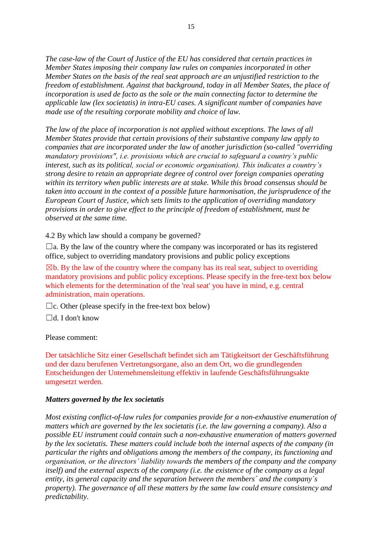*The case-law of the Court of Justice of the EU has considered that certain practices in Member States imposing their company law rules on companies incorporated in other Member States on the basis of the real seat approach are an unjustified restriction to the freedom of establishment. Against that background, today in all Member States, the place of incorporation is used de facto as the sole or the main connecting factor to determine the applicable law (lex societatis) in intra-EU cases. A significant number of companies have made use of the resulting corporate mobility and choice of law.*

*The law of the place of incorporation is not applied without exceptions. The laws of all Member States provide that certain provisions of their substantive company law apply to companies that are incorporated under the law of another jurisdiction (so-called "overriding mandatory provisions", i.e. provisions which are crucial to safeguard a country's public interest, such as its political, social or economic organisation). This indicates a country's strong desire to retain an appropriate degree of control over foreign companies operating within its territory when public interests are at stake. While this broad consensus should be taken into account in the context of a possible future harmonisation, the jurisprudence of the European Court of Justice, which sets limits to the application of overriding mandatory provisions in order to give effect to the principle of freedom of establishment, must be observed at the same time.*

4.2 By which law should a company be governed?

 $\Box$ a. By the law of the country where the company was incorporated or has its registered office, subject to overriding mandatory provisions and public policy exceptions

 $\boxtimes$ b. By the law of the country where the company has its real seat, subject to overriding mandatory provisions and public policy exceptions. Please specify in the free-text box below which elements for the determination of the 'real seat' you have in mind, e.g. central administration, main operations.

 $\Box$ c. Other (please specify in the free-text box below)

 $\Box$ d. I don't know

Please comment:

Der tatsächliche Sitz einer Gesellschaft befindet sich am Tätigkeitsort der Geschäftsführung und der dazu berufenen Vertretungsorgane, also an dem Ort, wo die grundlegenden Entscheidungen der Unternehmensleitung effektiv in laufende Geschäftsführungsakte umgesetzt werden.

#### *Matters governed by the lex societatis*

*Most existing conflict-of-law rules for companies provide for a non-exhaustive enumeration of matters which are governed by the lex societatis (i.e. the law governing a company). Also a possible EU instrument could contain such a non-exhaustive enumeration of matters governed by the lex societatis. These matters could include both the internal aspects of the company (in particular the rights and obligations among the members of the company, its functioning and organisation, or the directors' liability towards the members of the company and the company itself) and the external aspects of the company (i.e. the existence of the company as a legal entity, its general capacity and the separation between the members´ and the company´s property). The governance of all these matters by the same law could ensure consistency and predictability.*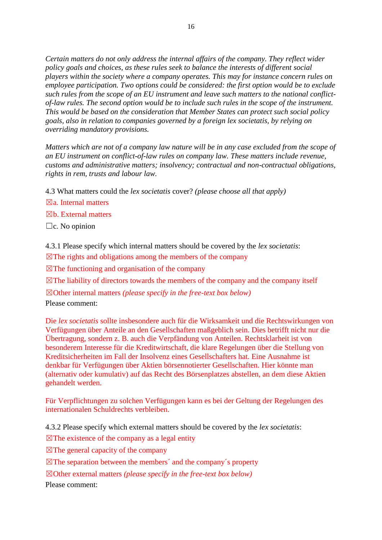*Certain matters do not only address the internal affairs of the company. They reflect wider policy goals and choices, as these rules seek to balance the interests of different social players within the society where a company operates. This may for instance concern rules on employee participation. Two options could be considered: the first option would be to exclude such rules from the scope of an EU instrument and leave such matters to the national conflictof-law rules. The second option would be to include such rules in the scope of the instrument. This would be based on the consideration that Member States can protect such social policy goals, also in relation to companies governed by a foreign lex societatis, by relying on overriding mandatory provisions.*

*Matters which are not of a company law nature will be in any case excluded from the scope of an EU instrument on conflict-of-law rules on company law. These matters include revenue, customs and administrative matters; insolvency; contractual and non-contractual obligations, rights in rem, trusts and labour law.* 

4.3 What matters could the *lex societatis* cover? *(please choose all that apply)*

 $\n **Mar** Internal matters$ 

☒b. External matters

 $\Box$ c. No opinion

4.3.1 Please specify which internal matters should be covered by the *lex societatis*:

 $\boxtimes$ The rights and obligations among the members of the company

 $\boxtimes$ The functioning and organisation of the company

 $\boxtimes$ The liability of directors towards the members of the company and the company itself

☒Other internal matters *(please specify in the free-text box below)* Please comment:

Die *lex societatis* sollte insbesondere auch für die Wirksamkeit und die Rechtswirkungen von Verfügungen über Anteile an den Gesellschaften maßgeblich sein. Dies betrifft nicht nur die Übertragung, sondern z. B. auch die Verpfändung von Anteilen. Rechtsklarheit ist von besonderem Interesse für die Kreditwirtschaft, die klare Regelungen über die Stellung von Kreditsicherheiten im Fall der Insolvenz eines Gesellschafters hat. Eine Ausnahme ist denkbar für Verfügungen über Aktien börsennotierter Gesellschaften. Hier könnte man (alternativ oder kumulativ) auf das Recht des Börsenplatzes abstellen, an dem diese Aktien gehandelt werden.

Für Verpflichtungen zu solchen Verfügungen kann es bei der Geltung der Regelungen des internationalen Schuldrechts verbleiben.

4.3.2 Please specify which external matters should be covered by the *lex societatis*:

 $\boxtimes$ The existence of the company as a legal entity

 $\boxtimes$ The general capacity of the company

 $\boxtimes$ The separation between the members' and the company's property

☒Other external matters *(please specify in the free-text box below)*

Please comment: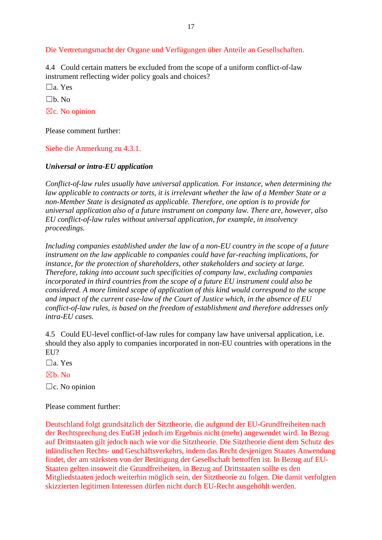Die Vertretungsmacht der Organe und Verfügungen über Anteile an Gesellschaften.

4.4 Could certain matters be excluded from the scope of a uniform conflict-of-law instrument reflecting wider policy goals and choices?

☐a. Yes

 $\Box$ b. No

 $\boxtimes$ c. No opinion

Please comment further:

Siehe die Anmerkung zu 4.3.1.

#### *Universal or intra-EU application*

*Conflict-of-law rules usually have universal application. For instance, when determining the law applicable to contracts or torts, it is irrelevant whether the law of a Member State or a non-Member State is designated as applicable. Therefore, one option is to provide for universal application also of a future instrument on company law. There are, however, also EU conflict-of-law rules without universal application, for example, in insolvency proceedings.*

*Including companies established under the law of a non-EU country in the scope of a future instrument on the law applicable to companies could have far-reaching implications, for instance, for the protection of shareholders, other stakeholders and society at large. Therefore, taking into account such specificities of company law, excluding companies incorporated in third countries from the scope of a future EU instrument could also be considered. A more limited scope of application of this kind would correspond to the scope and impact of the current case-law of the Court of Justice which, in the absence of EU conflict-of-law rules, is based on the freedom of establishment and therefore addresses only intra-EU cases.*

4.5 Could EU-level conflict-of-law rules for company law have universal application, i.e. should they also apply to companies incorporated in non-EU countries with operations in the EU?

 $\Box$ a. Yes

☒b. No

☐c. No opinion

#### Please comment further:

Deutschland folgt grundsätzlich der Sitztheorie, die aufgrund der EU-Grundfreiheiten nach der Rechtsprechung des EuGH jedoch im Ergebnis nicht (mehr) angewendet wird. In Bezug auf Drittstaaten gilt jedoch nach wie vor die Sitztheorie. Die Sitztheorie dient dem Schutz des inländischen Rechts- und Geschäftsverkehrs, indem das Recht desjenigen Staates Anwendung findet, der am stärksten von der Betätigung der Gesellschaft betroffen ist. In Bezug auf EU-Staaten gelten insoweit die Grundfreiheiten, in Bezug auf Drittstaaten sollte es den Mitgliedstaaten jedoch weiterhin möglich sein, der Sitztheorie zu folgen. Die damit verfolgten skizzierten legitimen Interessen dürfen nicht durch EU-Recht ausgehöhlt werden.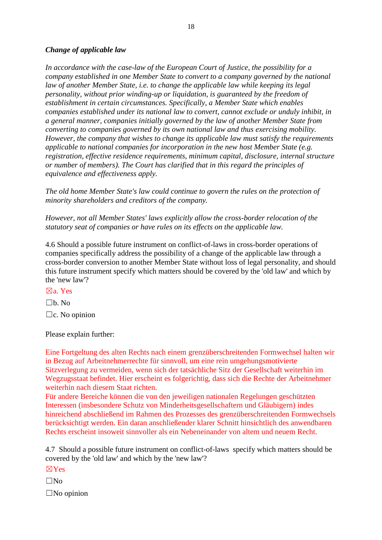#### *Change of applicable law*

*In accordance with the case-law of the European Court of Justice, the possibility for a company established in one Member State to convert to a company governed by the national law of another Member State, i.e. to change the applicable law while keeping its legal personality, without prior winding-up or liquidation, is guaranteed by the freedom of establishment in certain circumstances. Specifically, a Member State which enables companies established under its national law to convert, cannot exclude or unduly inhibit, in a general manner, companies initially governed by the law of another Member State from converting to companies governed by its own national law and thus exercising mobility. However, the company that wishes to change its applicable law must satisfy the requirements applicable to national companies for incorporation in the new host Member State (e.g. registration, effective residence requirements, minimum capital, disclosure, internal structure or number of members). The Court has clarified that in this regard the principles of equivalence and effectiveness apply.*

*The old home Member State's law could continue to govern the rules on the protection of minority shareholders and creditors of the company.*

*However, not all Member States' laws explicitly allow the cross-border relocation of the statutory seat of companies or have rules on its effects on the applicable law.*

4.6 Should a possible future instrument on conflict-of-laws in cross-border operations of companies specifically address the possibility of a change of the applicable law through a cross-border conversion to another Member State without loss of legal personality, and should this future instrument specify which matters should be covered by the 'old law' and which by the 'new law'?

☒a. Yes

 $\Box$ b. No.

 $\Box$ c. No opinion

Please explain further:

Eine Fortgeltung des alten Rechts nach einem grenzüberschreitenden Formwechsel halten wir in Bezug auf Arbeitnehmerrechte für sinnvoll, um eine rein umgehungsmotivierte Sitzverlegung zu vermeiden, wenn sich der tatsächliche Sitz der Gesellschaft weiterhin im Wegzugsstaat befindet. Hier erscheint es folgerichtig, dass sich die Rechte der Arbeitnehmer weiterhin nach diesem Staat richten.

Für andere Bereiche können die von den jeweiligen nationalen Regelungen geschützten Interessen (insbesondere Schutz von Minderheitsgesellschaftern und Gläubigern) indes hinreichend abschließend im Rahmen des Prozesses des grenzüberschreitenden Formwechsels berücksichtigt werden. Ein daran anschließender klarer Schnitt hinsichtlich des anwendbaren Rechts erscheint insoweit sinnvoller als ein Nebeneinander von altem und neuem Recht.

4.7 Should a possible future instrument on conflict-of-laws specify which matters should be covered by the 'old law' and which by the 'new law'?

☒Yes

 $\square$ No

 $\square$ No opinion